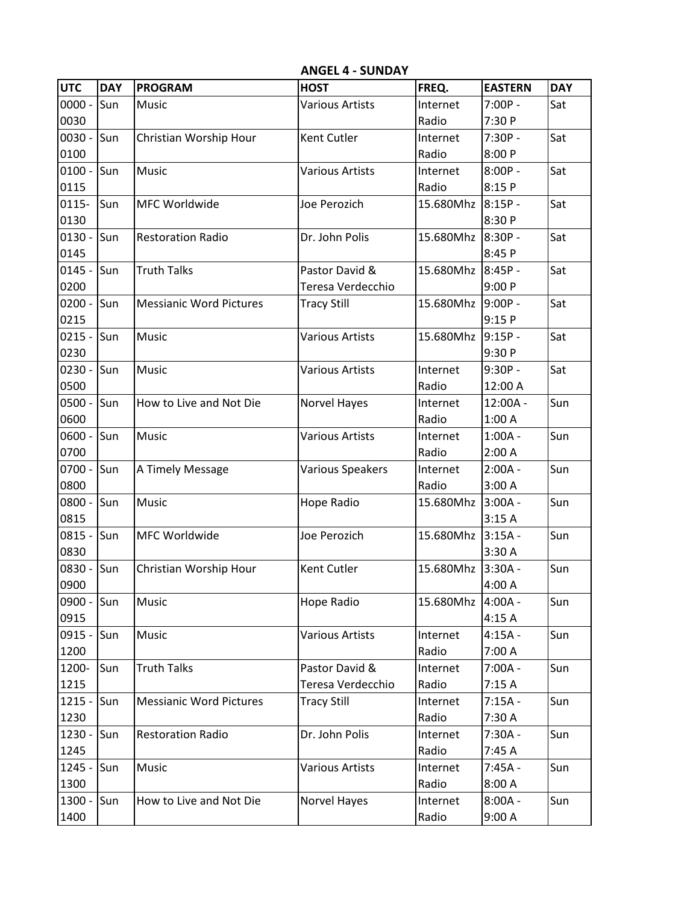**ANGEL 4 - SUNDAY**

| <b>UTC</b> | <b>DAY</b> | <b>PROGRAM</b>                 | <b>HOST</b>            | FREQ.     | <b>EASTERN</b> | <b>DAY</b> |
|------------|------------|--------------------------------|------------------------|-----------|----------------|------------|
| $0000 -$   | Sun        | Music                          | <b>Various Artists</b> | Internet  | $7:00P -$      | Sat        |
| 0030       |            |                                |                        | Radio     | 7:30 P         |            |
| $0030 -$   | Sun        | Christian Worship Hour         | Kent Cutler            | Internet  | $7:30P -$      | Sat        |
| 0100       |            |                                |                        | Radio     | 8:00 P         |            |
| $0100 -$   | Sun        | Music                          | <b>Various Artists</b> | Internet  | $8:00P -$      | Sat        |
| 0115       |            |                                |                        | Radio     | 8:15 P         |            |
| $0115 -$   | Sun        | MFC Worldwide                  | Joe Perozich           | 15.680Mhz | $8:15P -$      | Sat        |
| 0130       |            |                                |                        |           | 8:30 P         |            |
| $0130 -$   | Sun        | <b>Restoration Radio</b>       | Dr. John Polis         | 15.680Mhz | $8:30P -$      | Sat        |
| 0145       |            |                                |                        |           | 8:45 P         |            |
| $0145 -$   | Sun        | <b>Truth Talks</b>             | Pastor David &         | 15.680Mhz | $8:45P -$      | Sat        |
| 0200       |            |                                | Teresa Verdecchio      |           | 9:00P          |            |
| $0200 -$   | Sun        | <b>Messianic Word Pictures</b> | <b>Tracy Still</b>     | 15.680Mhz | $9:00P -$      | Sat        |
| 0215       |            |                                |                        |           | 9:15P          |            |
| $0215 -$   | Sun        | Music                          | <b>Various Artists</b> | 15.680Mhz | $9:15P -$      | Sat        |
| 0230       |            |                                |                        |           | 9:30 P         |            |
| $0230 -$   | Sun        | Music                          | <b>Various Artists</b> | Internet  | $9:30P -$      | Sat        |
| 0500       |            |                                |                        | Radio     | 12:00 A        |            |
| $0500 -$   | Sun        | How to Live and Not Die        | Norvel Hayes           | Internet  | 12:00A -       | Sun        |
| 0600       |            |                                |                        | Radio     | 1:00A          |            |
| $0600 -$   | Sun        | Music                          | <b>Various Artists</b> | Internet  | $1:00A -$      | Sun        |
| 0700       |            |                                |                        | Radio     | 2:00A          |            |
| $0700 -$   | Sun        | A Timely Message               | Various Speakers       | Internet  | $2:00A -$      | Sun        |
| 0800       |            |                                |                        | Radio     | 3:00A          |            |
| 0800 -     | Sun        | Music                          | Hope Radio             | 15.680Mhz | $3:00A -$      | Sun        |
| 0815       |            |                                |                        |           | 3:15A          |            |
| $0815 -$   | Sun        | MFC Worldwide                  | Joe Perozich           | 15.680Mhz | $3:15A -$      | Sun        |
| 0830       |            |                                |                        |           | 3:30 A         |            |
| 0830 -     | Sun        | Christian Worship Hour         | Kent Cutler            | 15.680Mhz | $3:30A -$      | Sun        |
| 0900       |            |                                |                        |           | 4:00 A         |            |
| 0900 - Sun |            | Music                          | Hope Radio             | 15.680Mhz | $4:00A -$      | Sun        |
| 0915       |            |                                |                        |           | 4:15A          |            |
| $0915 -$   | Sun        | Music                          | <b>Various Artists</b> | Internet  | $4:15A -$      | Sun        |
| 1200       |            |                                |                        | Radio     | 7:00 A         |            |
| 1200-      | Sun        | <b>Truth Talks</b>             | Pastor David &         | Internet  | $7:00A -$      | Sun        |
| 1215       |            |                                | Teresa Verdecchio      | Radio     | 7:15 A         |            |
| $1215 -$   | Sun        | <b>Messianic Word Pictures</b> | <b>Tracy Still</b>     | Internet  | $7:15A -$      | Sun        |
| 1230       |            |                                |                        | Radio     | 7:30 A         |            |
| 1230 -     | Sun        | <b>Restoration Radio</b>       | Dr. John Polis         | Internet  | 7:30A -        | Sun        |
| 1245       |            |                                |                        | Radio     | 7:45 A         |            |
| $1245 -$   | Sun        | Music                          | Various Artists        | Internet  | $7:45A -$      | Sun        |
| 1300       |            |                                |                        | Radio     | 8:00A          |            |
| 1300 -     | Sun        | How to Live and Not Die        | Norvel Hayes           | Internet  | $8:00A -$      | Sun        |
| 1400       |            |                                |                        | Radio     | 9:00A          |            |